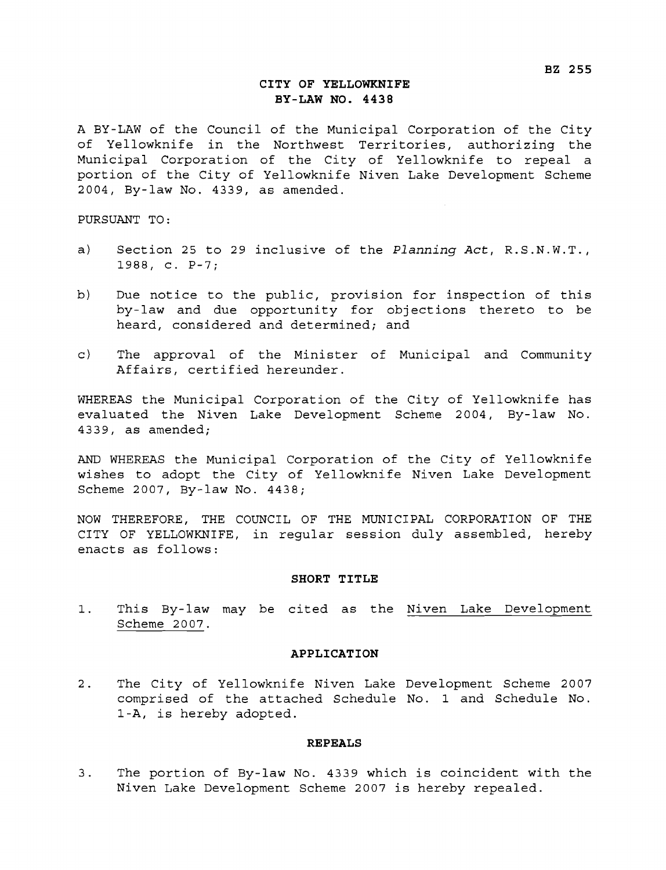### **CITY OF YELLOWKNIFE BY-LAW NO. 4438**

A BY-LAW of the Council of the Municipal Corporation of the City of Yellowknife in the Northwest Territories, authorizing the Municipal Corporation of the City of Yellowknife to repeal a portion of the City of Yellowknife Niven Lake Development Scheme 2004, By-law No. 4339, as amended.

PURSUANT TO:

- a) Section 25 to 29 inclusive of the **Planning Act,** R.S.N.W.T., 1988, C. P-7;
- b) Due notice to the public, provision for inspection of this by-law and due opportunity for objections thereto to be heard, considered and determined; and
- c) The approval of the Minister of Municipal and Community Affairs, certified hereunder.

WHEREAS the Municipal Corporation of the City of Yellowknife has evaluated the Niven Lake Development Scheme 2004, By-law No. 4339, as amended;

AND WHEREAS the Municipal Corporation of the City of Yellowknife wishes to adopt the City of Yellowknife Niven Lake Development Scheme 2007, By-law No. 4438;

NOW THEREFORE, THE COUNCIL OF THE MUNICIPAL CORPORATION OF THE CITY OF YELLOWKNIFE, in regular session duly assembled, hereby enacts as follows:

### **SHORT TITLE**

1. This By-law may be cited as the Niven Lake Development Scheme 2007.

#### **APPLICATION**

2. The City of Yellowknife Niven Lake Development Scheme 2007 comprised of the attached Schedule No. 1 and Schedule No. 1-A, is hereby adopted.

#### **REPEALS**

3. The portion of By-law No. 4339 which is coincident with the Niven Lake Development Scheme 2007 is hereby repealed.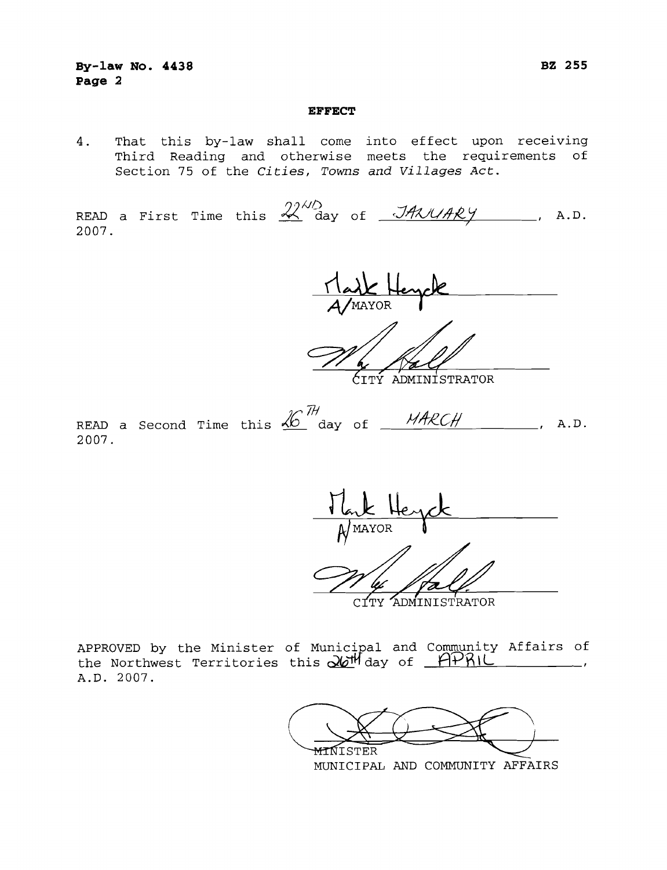# **By-law NO. 4438 Page 2**

#### **EFFECT**

4. That this by-law shall come into effect upon receiving Third Reading and otherwise meets the requirements of Section 75 of the *Cities, Towns* and *Villages Act.* 

READ a First Time this  $\frac{22}{\sqrt{5}}$  day of  $\frac{742}{\sqrt{42}}$ 2007.

 $\frac{1}{A/MAYOR}$ 

CITÝ ADMINISTRATOR

rn READ a Second Time this  $\frac{\sqrt{h}}{h}$  day of  $\frac{NARCH}{A+M}$ , A.D. 2007.

MAYOR ADMINISTRATOR

APPROVED by the Minister of Municipal and Community Affairs of the Northwest Territories this  $\frac{\partial U^{\text{H}}}{\partial \text{d} x}$  of  $\frac{\partial P}{\partial L}$ A.D. 2007.

<del>MI</del>NISTER MUNICIPAL AND COMMUNITY AFFAIRS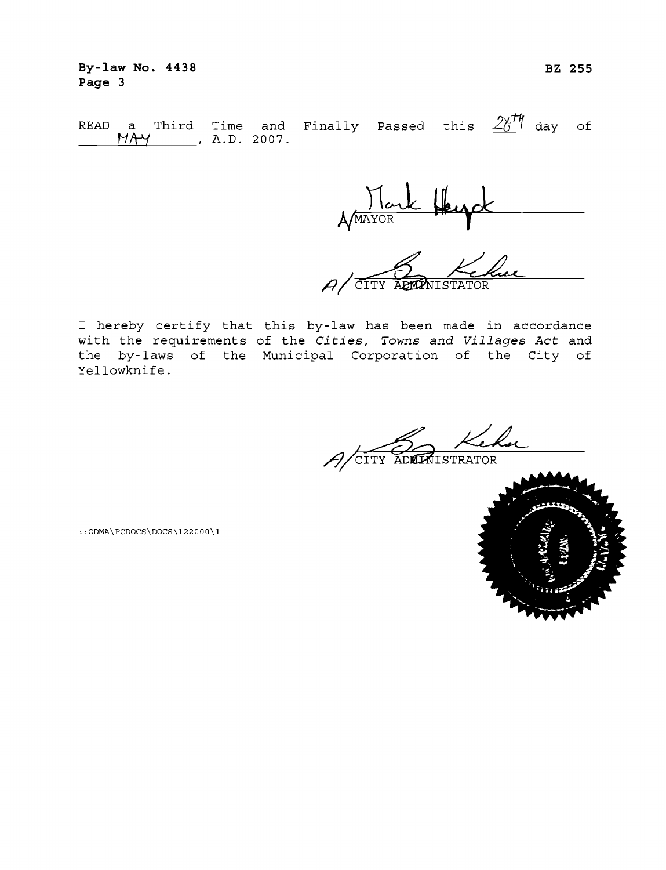**By-law No. 4438 Page 3** 

READ a Third Time and Finally Passed this  $\frac{\angle \mathcal{E}^{\prime\,\prime}}{2}$  day of  $M$ A $\vee$  , A.D. 2007.

NATION Heypt

 $A/\overbrace{\text{ctry AptAnsrator}}$ 

I hereby certify that this by-law has been made in accordance with the requirements of the Cities, Towns and Villages Act and the by-laws of the Municipal Corporation of the City of Yellowknife.

A/CITY ADDITISTRATOR



 $::ODMA\PCDOCS\DOCS\122000\1$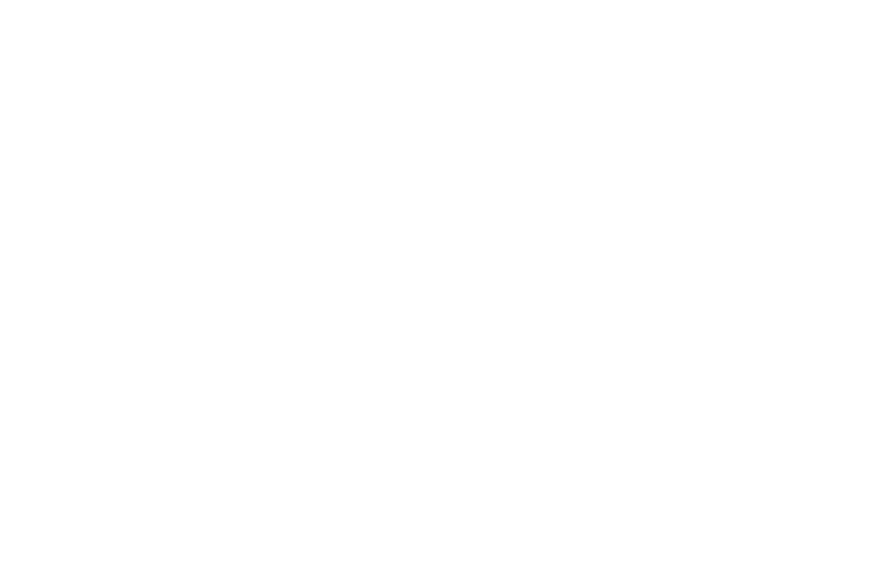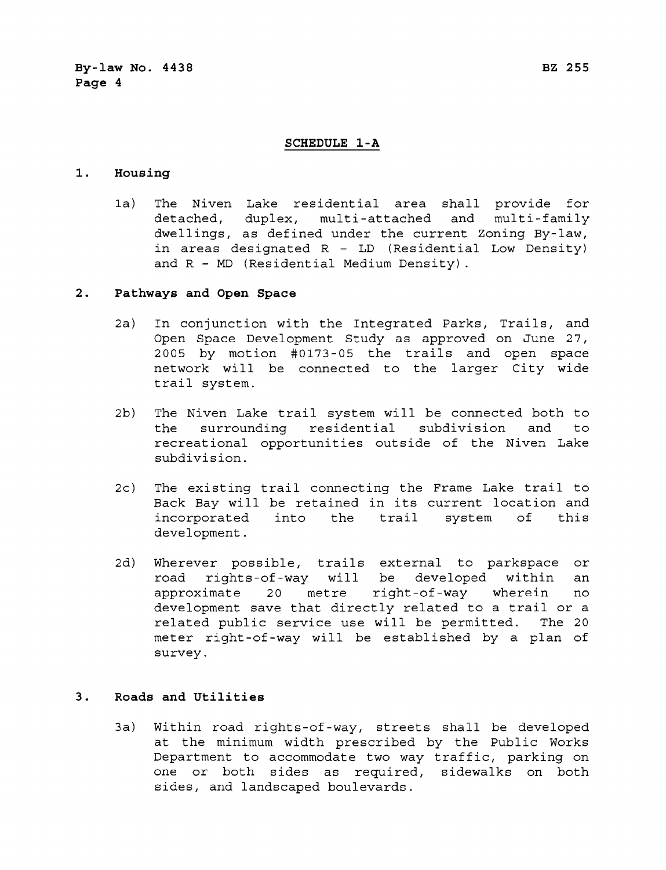### **SCHEDULE 1-A**

#### **1. Housing**

la) The Niven Lake residential area shall provide for detached, duplex, multi-attached and multi-family dwellings, as defined under the current Zoning By-law, in areas designated  $R - LD$  (Residential Low Density) and R - MD (Residential Medium Density).

#### **2. Pathways and Open Space**

- 2a) In conjunction with the Integrated Parks, Trails, and Open Space Development Study as approved on June 27, 2005 by motion #0173-05 the trails and open space network will be connected to the larger City wide trail system.
- 2b) The Niven Lake trail system will be connected both to the surrounding residential subdivision and to recreational opportunities outside of the Niven Lake subdivision.
- 2c) The existing trail connecting the Frame Lake trail to Back Bay will be retained in its current location and incorporated into the trail system of this development.
- 2d) Wherever possible, trails external to parkspace or road rights-of-way will be developed within an approximate 20 metre right-of-way wherein no development save that directly related to a trail or a related public service use will be permitted. The 20 meter right-of-way will be established by a plan of survey.

# **3. Roads and Utilities**

3a) Within road rights-of-way, streets shall be developed at the minimum width prescribed by the Public Works Department to accommodate two way traffic, parking on one or both sides as required, sidewalks on both sides, and landscaped boulevards.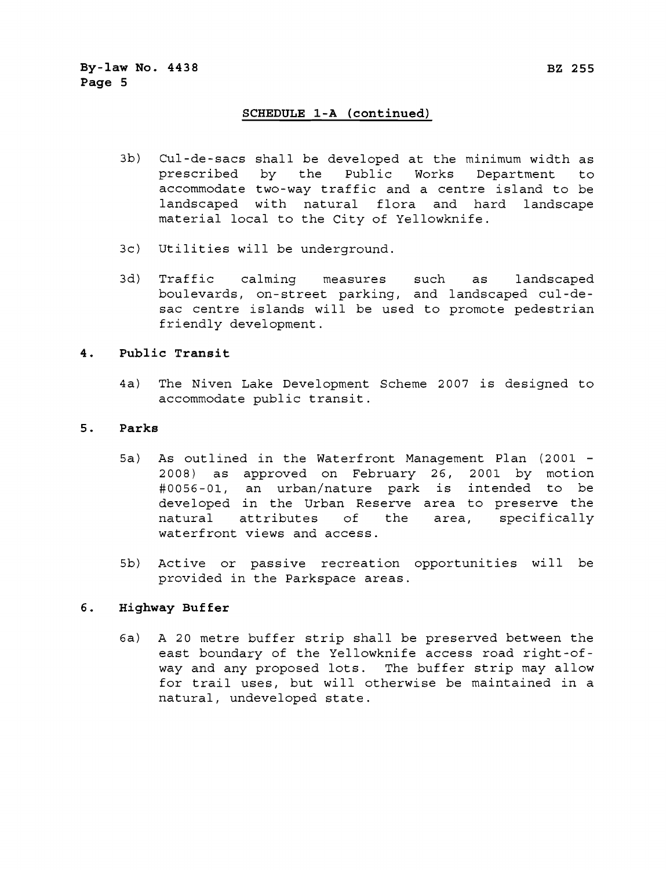# **SCHEDULE 1-A (continued)**

- 3b) Cul-de-sacs shall be developed at the minimum width as prescribed by the Public Works Department to accommodate two-way traffic and a centre island to be landscaped with natural flora and hard landscape material local to the City of Yellowknife.
- 3c) Utilities will be underground.
- 3d) Traffic calming measures such as landscaped boulevards, on-street parking, and landscaped cul-desac centre islands will be used to promote pedestrian friendly development.

## **4. Public Transit**

4a) The Niven Lake Development Scheme 2007 is designed to accommodate public transit.

## **5. Parks**

- 5a) As outlined in the Waterfront Management Plan (2001 2008) as approved on February 26, 2001 by motion #0056-01, an urban/nature park is intended to be developed in the Urban Reserve area to preserve the natural attributes of the area, specifically waterfront views and access.
- 5b) Active or passive recreation opportunities will be provided in the Parkspace areas.

# **6. Highway Buffer**

6a) A 20 metre buffer strip shall be preserved between the east boundary of the Yellowknife access road right-ofway and any proposed lots. The buffer strip may allow for trail uses, but will otherwise be maintained in a natural, undeveloped state.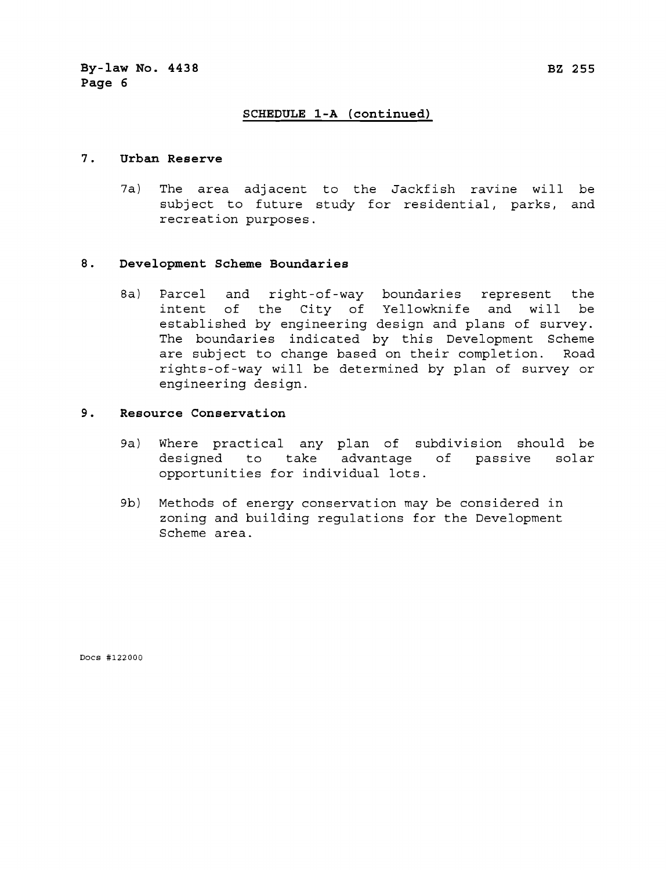# **SCHEDULE 1-A (continued)**

### **7. Urban Reserve**

7a) The area adjacent to the Jackfish ravine will be subject to future study for residential, parks, and recreation purposes.

### **8. Development Scheme Boundaries**

8a) Parcel and right-of-way boundaries represent the intent of the City of Yellowknife and will be established by engineering design and plans of survey. The boundaries indicated by this Development Scheme are subject to change based on their completion. Road rights-of-way will be determined by plan of survey or engineering design.

#### **9. Resource Conservation**

- 9a) Where practical any plan of subdivision should be designed to take advantage of passive solar opportunities for individual lots.
- 9b) Methods of energy conservation may be considered in zoning and building regulations for the Development Scheme area.

**Docs #I22000**